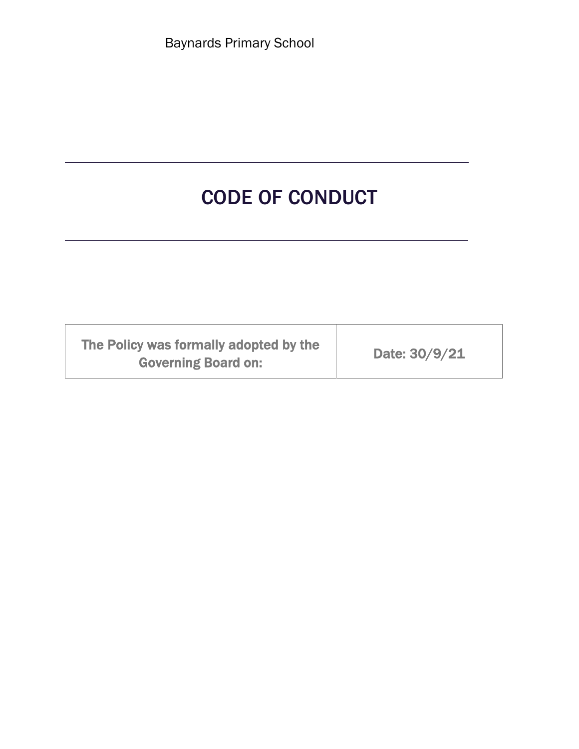Baynards Primary School

# CODE OF CONDUCT

| The Policy was formally adopted by the<br><b>Governing Board on:</b> | Date: 30/9/21 |
|----------------------------------------------------------------------|---------------|
|----------------------------------------------------------------------|---------------|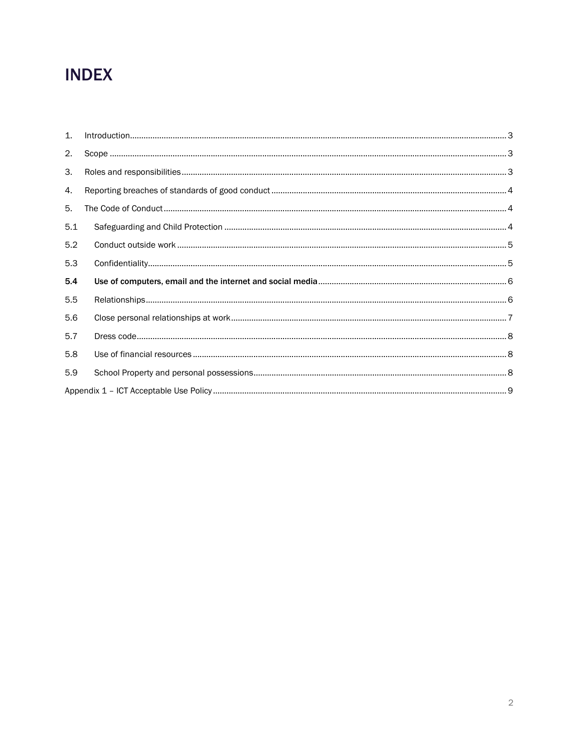## **INDEX**

| 1 <sup>1</sup> |  |
|----------------|--|
| 2.             |  |
| 3.             |  |
| 4.             |  |
| 5.             |  |
| 5.1            |  |
| 5.2            |  |
| 5.3            |  |
| 5.4            |  |
| 5.5            |  |
| 5.6            |  |
| 5.7            |  |
| 5.8            |  |
| 5.9            |  |
|                |  |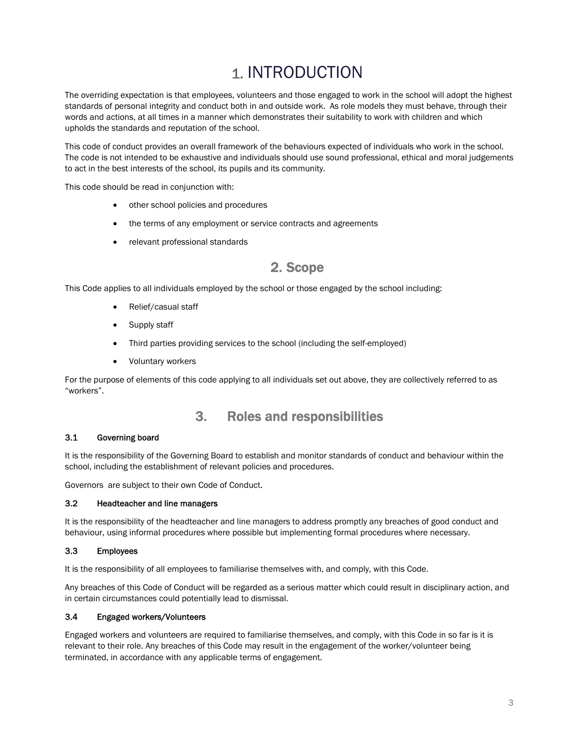## 1. INTRODUCTION

The overriding expectation is that employees, volunteers and those engaged to work in the school will adopt the highest standards of personal integrity and conduct both in and outside work. As role models they must behave, through their words and actions, at all times in a manner which demonstrates their suitability to work with children and which upholds the standards and reputation of the school.

This code of conduct provides an overall framework of the behaviours expected of individuals who work in the school. The code is not intended to be exhaustive and individuals should use sound professional, ethical and moral judgements to act in the best interests of the school, its pupils and its community.

This code should be read in conjunction with:

- other school policies and procedures
- the terms of any employment or service contracts and agreements
- relevant professional standards

### 2. Scope

This Code applies to all individuals employed by the school or those engaged by the school including:

- Relief/casual staff
- Supply staff
- Third parties providing services to the school (including the self-employed)
- Voluntary workers

For the purpose of elements of this code applying to all individuals set out above, they are collectively referred to as "workers".

### 3. Roles and responsibilities

#### 3.1 Governing board

It is the responsibility of the Governing Board to establish and monitor standards of conduct and behaviour within the school, including the establishment of relevant policies and procedures.

Governors are subject to their own Code of Conduct.

#### 3.2 Headteacher and line managers

It is the responsibility of the headteacher and line managers to address promptly any breaches of good conduct and behaviour, using informal procedures where possible but implementing formal procedures where necessary.

#### 3.3 Employees

It is the responsibility of all employees to familiarise themselves with, and comply, with this Code.

Any breaches of this Code of Conduct will be regarded as a serious matter which could result in disciplinary action, and in certain circumstances could potentially lead to dismissal.

#### 3.4 Engaged workers/Volunteers

Engaged workers and volunteers are required to familiarise themselves, and comply, with this Code in so far is it is relevant to their role. Any breaches of this Code may result in the engagement of the worker/volunteer being terminated, in accordance with any applicable terms of engagement.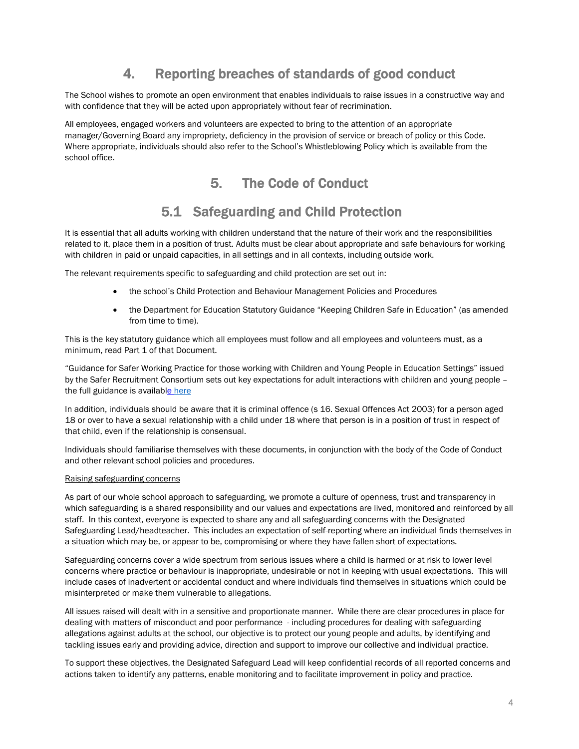### 4. Reporting breaches of standards of good conduct

The School wishes to promote an open environment that enables individuals to raise issues in a constructive way and with confidence that they will be acted upon appropriately without fear of recrimination.

All employees, engaged workers and volunteers are expected to bring to the attention of an appropriate manager/Governing Board any impropriety, deficiency in the provision of service or breach of policy or this Code. Where appropriate, individuals should also refer to the School's Whistleblowing Policy which is available from the school office.

### 5. The Code of Conduct

### 5.1 Safeguarding and Child Protection

It is essential that all adults working with children understand that the nature of their work and the responsibilities related to it, place them in a position of trust. Adults must be clear about appropriate and safe behaviours for working with children in paid or unpaid capacities, in all settings and in all contexts, including outside work.

The relevant requirements specific to safeguarding and child protection are set out in:

- the school's Child Protection and Behaviour Management Policies and Procedures
- the Department for Education Statutory Guidance "Keeping Children Safe in Education" (as amended from time to time).

This is the key statutory guidance which all employees must follow and all employees and volunteers must, as a minimum, read Part 1 of that Document.

"Guidance for Safer Working Practice for those working with Children and Young People in Education Settings" issued by the Safer Recruitment Consortium sets out key expectations for adult interactions with children and young people – the full guidance is available here

In addition, individuals should be aware that it is criminal offence (s 16. Sexual Offences Act 2003) for a person aged 18 or over to have a sexual relationship with a child under 18 where that person is in a position of trust in respect of that child, even if the relationship is consensual.

Individuals should familiarise themselves with these documents, in conjunction with the body of the Code of Conduct and other relevant school policies and procedures.

#### Raising safeguarding concerns

As part of our whole school approach to safeguarding, we promote a culture of openness, trust and transparency in which safeguarding is a shared responsibility and our values and expectations are lived, monitored and reinforced by all staff. In this context, everyone is expected to share any and all safeguarding concerns with the Designated Safeguarding Lead/headteacher. This includes an expectation of self-reporting where an individual finds themselves in a situation which may be, or appear to be, compromising or where they have fallen short of expectations.

Safeguarding concerns cover a wide spectrum from serious issues where a child is harmed or at risk to lower level concerns where practice or behaviour is inappropriate, undesirable or not in keeping with usual expectations. This will include cases of inadvertent or accidental conduct and where individuals find themselves in situations which could be misinterpreted or make them vulnerable to allegations.

All issues raised will dealt with in a sensitive and proportionate manner. While there are clear procedures in place for dealing with matters of misconduct and poor performance - including procedures for dealing with safeguarding allegations against adults at the school, our objective is to protect our young people and adults, by identifying and tackling issues early and providing advice, direction and support to improve our collective and individual practice.

To support these objectives, the Designated Safeguard Lead will keep confidential records of all reported concerns and actions taken to identify any patterns, enable monitoring and to facilitate improvement in policy and practice.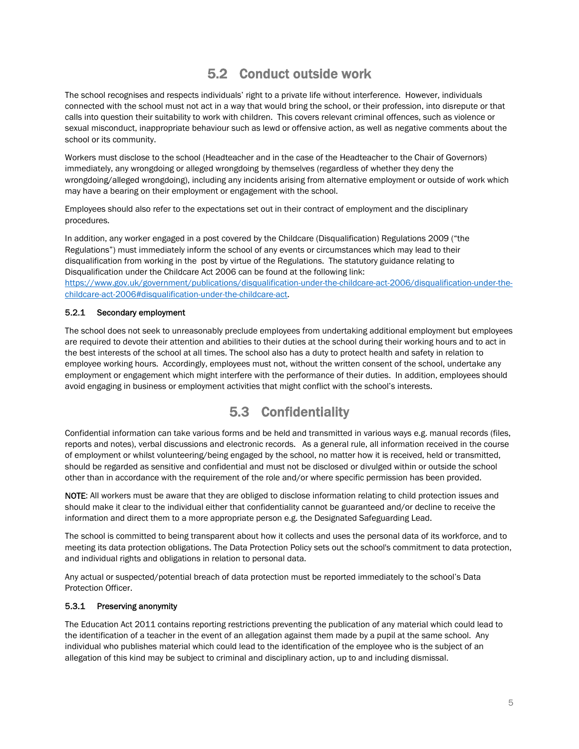### 5.2 Conduct outside work

The school recognises and respects individuals' right to a private life without interference. However, individuals connected with the school must not act in a way that would bring the school, or their profession, into disrepute or that calls into question their suitability to work with children. This covers relevant criminal offences, such as violence or sexual misconduct, inappropriate behaviour such as lewd or offensive action, as well as negative comments about the school or its community.

Workers must disclose to the school (Headteacher and in the case of the Headteacher to the Chair of Governors) immediately, any wrongdoing or alleged wrongdoing by themselves (regardless of whether they deny the wrongdoing/alleged wrongdoing), including any incidents arising from alternative employment or outside of work which may have a bearing on their employment or engagement with the school.

Employees should also refer to the expectations set out in their contract of employment and the disciplinary procedures.

In addition, any worker engaged in a post covered by the Childcare (Disqualification) Regulations 2009 ("the Regulations") must immediately inform the school of any events or circumstances which may lead to their disqualification from working in the post by virtue of the Regulations. The statutory guidance relating to Disqualification under the Childcare Act 2006 can be found at the following link: https://www.gov.uk/government/publications/disqualification-under-the-childcare-act-2006/disqualification-under-thechildcare-act-2006#disqualification-under-the-childcare-act.

#### 5.2.1 Secondary employment

The school does not seek to unreasonably preclude employees from undertaking additional employment but employees are required to devote their attention and abilities to their duties at the school during their working hours and to act in the best interests of the school at all times. The school also has a duty to protect health and safety in relation to employee working hours. Accordingly, employees must not, without the written consent of the school, undertake any employment or engagement which might interfere with the performance of their duties. In addition, employees should avoid engaging in business or employment activities that might conflict with the school's interests.

### 5.3 Confidentiality

Confidential information can take various forms and be held and transmitted in various ways e.g. manual records (files, reports and notes), verbal discussions and electronic records. As a general rule, all information received in the course of employment or whilst volunteering/being engaged by the school, no matter how it is received, held or transmitted, should be regarded as sensitive and confidential and must not be disclosed or divulged within or outside the school other than in accordance with the requirement of the role and/or where specific permission has been provided.

NOTE: All workers must be aware that they are obliged to disclose information relating to child protection issues and should make it clear to the individual either that confidentiality cannot be guaranteed and/or decline to receive the information and direct them to a more appropriate person e.g. the Designated Safeguarding Lead.

The school is committed to being transparent about how it collects and uses the personal data of its workforce, and to meeting its data protection obligations. The Data Protection Policy sets out the school's commitment to data protection, and individual rights and obligations in relation to personal data.

Any actual or suspected/potential breach of data protection must be reported immediately to the school's Data Protection Officer.

#### 5.3.1 Preserving anonymity

The Education Act 2011 contains reporting restrictions preventing the publication of any material which could lead to the identification of a teacher in the event of an allegation against them made by a pupil at the same school. Any individual who publishes material which could lead to the identification of the employee who is the subject of an allegation of this kind may be subject to criminal and disciplinary action, up to and including dismissal.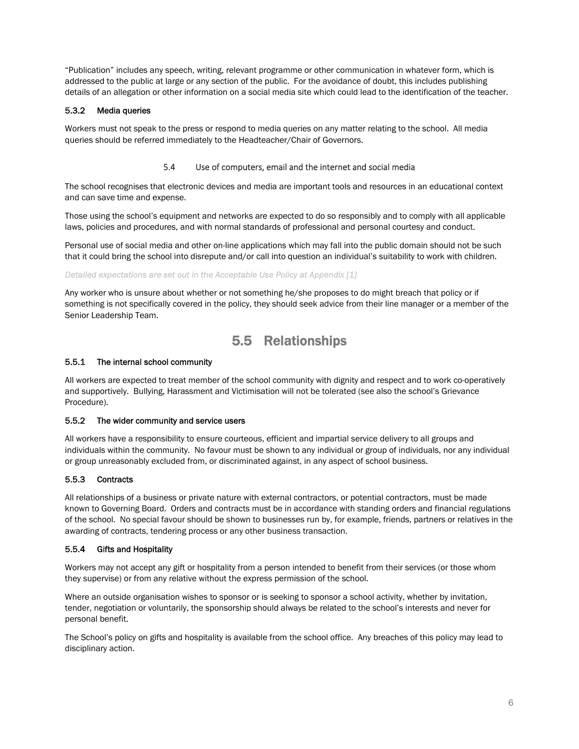"Publication" includes any speech, writing, relevant programme or other communication in whatever form, which is addressed to the public at large or any section of the public. For the avoidance of doubt, this includes publishing details of an allegation or other information on a social media site which could lead to the identification of the teacher.

#### 5.3.2 Media queries

Workers must not speak to the press or respond to media queries on any matter relating to the school. All media queries should be referred immediately to the Headteacher/Chair of Governors.

#### 5.4 Use of computers, email and the internet and social media

The school recognises that electronic devices and media are important tools and resources in an educational context and can save time and expense.

Those using the school's equipment and networks are expected to do so responsibly and to comply with all applicable laws, policies and procedures, and with normal standards of professional and personal courtesy and conduct.

Personal use of social media and other on-line applications which may fall into the public domain should not be such that it could bring the school into disrepute and/or call into question an individual's suitability to work with children.

#### *Detailed expectations are set out in the Acceptable Use Policy at Appendix [1]*

Any worker who is unsure about whether or not something he/she proposes to do might breach that policy or if something is not specifically covered in the policy, they should seek advice from their line manager or a member of the Senior Leadership Team.

### 5.5 Relationships

#### 5.5.1 The internal school community

All workers are expected to treat member of the school community with dignity and respect and to work co-operatively and supportively. Bullying, Harassment and Victimisation will not be tolerated (see also the school's Grievance Procedure).

#### 5.5.2 The wider community and service users

All workers have a responsibility to ensure courteous, efficient and impartial service delivery to all groups and individuals within the community. No favour must be shown to any individual or group of individuals, nor any individual or group unreasonably excluded from, or discriminated against, in any aspect of school business.

#### 5.5.3 Contracts

All relationships of a business or private nature with external contractors, or potential contractors, must be made known to Governing Board. Orders and contracts must be in accordance with standing orders and financial regulations of the school. No special favour should be shown to businesses run by, for example, friends, partners or relatives in the awarding of contracts, tendering process or any other business transaction.

#### 5.5.4 Gifts and Hospitality

Workers may not accept any gift or hospitality from a person intended to benefit from their services (or those whom they supervise) or from any relative without the express permission of the school.

Where an outside organisation wishes to sponsor or is seeking to sponsor a school activity, whether by invitation, tender, negotiation or voluntarily, the sponsorship should always be related to the school's interests and never for personal benefit.

The School's policy on gifts and hospitality is available from the school office. Any breaches of this policy may lead to disciplinary action.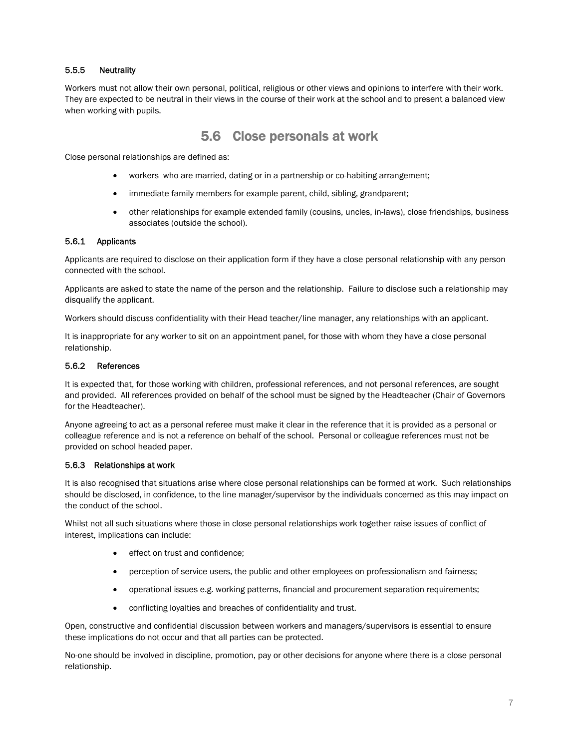#### 5.5.5 Neutrality

Workers must not allow their own personal, political, religious or other views and opinions to interfere with their work. They are expected to be neutral in their views in the course of their work at the school and to present a balanced view when working with pupils.

### 5.6 Close personals at work

Close personal relationships are defined as:

- workers who are married, dating or in a partnership or co-habiting arrangement;
- immediate family members for example parent, child, sibling, grandparent;
- other relationships for example extended family (cousins, uncles, in-laws), close friendships, business associates (outside the school).

#### 5.6.1 Applicants

Applicants are required to disclose on their application form if they have a close personal relationship with any person connected with the school.

Applicants are asked to state the name of the person and the relationship. Failure to disclose such a relationship may disqualify the applicant.

Workers should discuss confidentiality with their Head teacher/line manager, any relationships with an applicant.

It is inappropriate for any worker to sit on an appointment panel, for those with whom they have a close personal relationship.

#### 5.6.2 References

It is expected that, for those working with children, professional references, and not personal references, are sought and provided. All references provided on behalf of the school must be signed by the Headteacher (Chair of Governors for the Headteacher).

Anyone agreeing to act as a personal referee must make it clear in the reference that it is provided as a personal or colleague reference and is not a reference on behalf of the school. Personal or colleague references must not be provided on school headed paper.

#### 5.6.3 Relationships at work

It is also recognised that situations arise where close personal relationships can be formed at work. Such relationships should be disclosed, in confidence, to the line manager/supervisor by the individuals concerned as this may impact on the conduct of the school.

Whilst not all such situations where those in close personal relationships work together raise issues of conflict of interest, implications can include:

- effect on trust and confidence;
- perception of service users, the public and other employees on professionalism and fairness;
- operational issues e.g. working patterns, financial and procurement separation requirements;
- conflicting loyalties and breaches of confidentiality and trust.

Open, constructive and confidential discussion between workers and managers/supervisors is essential to ensure these implications do not occur and that all parties can be protected.

No-one should be involved in discipline, promotion, pay or other decisions for anyone where there is a close personal relationship.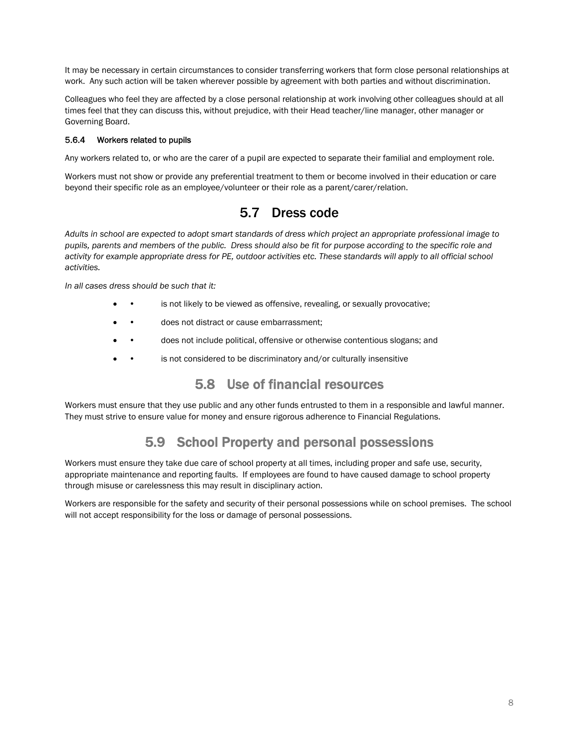It may be necessary in certain circumstances to consider transferring workers that form close personal relationships at work. Any such action will be taken wherever possible by agreement with both parties and without discrimination.

Colleagues who feel they are affected by a close personal relationship at work involving other colleagues should at all times feel that they can discuss this, without prejudice, with their Head teacher/line manager, other manager or Governing Board.

#### 5.6.4 Workers related to pupils

Any workers related to, or who are the carer of a pupil are expected to separate their familial and employment role.

Workers must not show or provide any preferential treatment to them or become involved in their education or care beyond their specific role as an employee/volunteer or their role as a parent/carer/relation.

### 5.7 Dress code

*Adults in school are expected to adopt smart standards of dress which project an appropriate professional image to pupils, parents and members of the public. Dress should also be fit for purpose according to the specific role and activity for example appropriate dress for PE, outdoor activities etc. These standards will apply to all official school activities.* 

*In all cases dress should be such that it:* 

- is not likely to be viewed as offensive, revealing, or sexually provocative;
- does not distract or cause embarrassment;
- does not include political, offensive or otherwise contentious slogans; and
- is not considered to be discriminatory and/or culturally insensitive

### 5.8 Use of financial resources

Workers must ensure that they use public and any other funds entrusted to them in a responsible and lawful manner. They must strive to ensure value for money and ensure rigorous adherence to Financial Regulations.

### 5.9 School Property and personal possessions

Workers must ensure they take due care of school property at all times, including proper and safe use, security, appropriate maintenance and reporting faults. If employees are found to have caused damage to school property through misuse or carelessness this may result in disciplinary action.

Workers are responsible for the safety and security of their personal possessions while on school premises. The school will not accept responsibility for the loss or damage of personal possessions.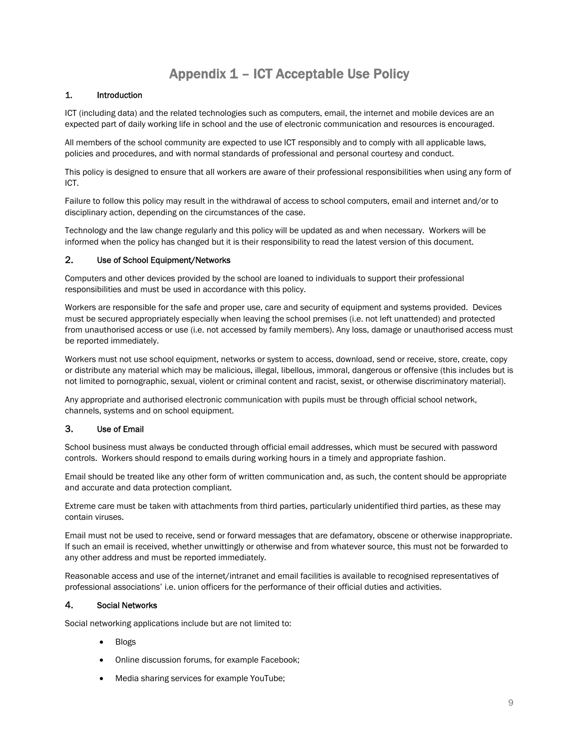### Appendix 1 – ICT Acceptable Use Policy

#### 1. Introduction

ICT (including data) and the related technologies such as computers, email, the internet and mobile devices are an expected part of daily working life in school and the use of electronic communication and resources is encouraged.

All members of the school community are expected to use ICT responsibly and to comply with all applicable laws, policies and procedures, and with normal standards of professional and personal courtesy and conduct.

This policy is designed to ensure that all workers are aware of their professional responsibilities when using any form of ICT.

Failure to follow this policy may result in the withdrawal of access to school computers, email and internet and/or to disciplinary action, depending on the circumstances of the case.

Technology and the law change regularly and this policy will be updated as and when necessary. Workers will be informed when the policy has changed but it is their responsibility to read the latest version of this document.

#### 2. Use of School Equipment/Networks

Computers and other devices provided by the school are loaned to individuals to support their professional responsibilities and must be used in accordance with this policy.

Workers are responsible for the safe and proper use, care and security of equipment and systems provided. Devices must be secured appropriately especially when leaving the school premises (i.e. not left unattended) and protected from unauthorised access or use (i.e. not accessed by family members). Any loss, damage or unauthorised access must be reported immediately.

Workers must not use school equipment, networks or system to access, download, send or receive, store, create, copy or distribute any material which may be malicious, illegal, libellous, immoral, dangerous or offensive (this includes but is not limited to pornographic, sexual, violent or criminal content and racist, sexist, or otherwise discriminatory material).

Any appropriate and authorised electronic communication with pupils must be through official school network, channels, systems and on school equipment.

#### 3. Use of Email

School business must always be conducted through official email addresses, which must be secured with password controls. Workers should respond to emails during working hours in a timely and appropriate fashion.

Email should be treated like any other form of written communication and, as such, the content should be appropriate and accurate and data protection compliant.

Extreme care must be taken with attachments from third parties, particularly unidentified third parties, as these may contain viruses.

Email must not be used to receive, send or forward messages that are defamatory, obscene or otherwise inappropriate. If such an email is received, whether unwittingly or otherwise and from whatever source, this must not be forwarded to any other address and must be reported immediately.

Reasonable access and use of the internet/intranet and email facilities is available to recognised representatives of professional associations' i.e. union officers for the performance of their official duties and activities.

#### 4. Social Networks

Social networking applications include but are not limited to:

- Blogs
- Online discussion forums, for example Facebook;
- Media sharing services for example YouTube;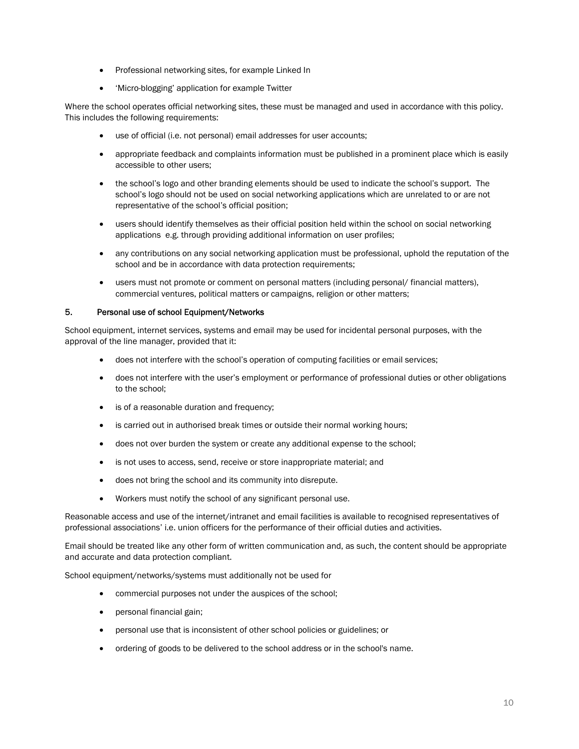- Professional networking sites, for example Linked In
- 'Micro-blogging' application for example Twitter

Where the school operates official networking sites, these must be managed and used in accordance with this policy. This includes the following requirements:

- use of official (i.e. not personal) email addresses for user accounts;
- appropriate feedback and complaints information must be published in a prominent place which is easily accessible to other users;
- the school's logo and other branding elements should be used to indicate the school's support. The school's logo should not be used on social networking applications which are unrelated to or are not representative of the school's official position;
- users should identify themselves as their official position held within the school on social networking applications e.g. through providing additional information on user profiles;
- any contributions on any social networking application must be professional, uphold the reputation of the school and be in accordance with data protection requirements;
- users must not promote or comment on personal matters (including personal/ financial matters), commercial ventures, political matters or campaigns, religion or other matters;

#### 5. Personal use of school Equipment/Networks

School equipment, internet services, systems and email may be used for incidental personal purposes, with the approval of the line manager, provided that it:

- does not interfere with the school's operation of computing facilities or email services;
- does not interfere with the user's employment or performance of professional duties or other obligations to the school;
- is of a reasonable duration and frequency;
- is carried out in authorised break times or outside their normal working hours;
- does not over burden the system or create any additional expense to the school;
- is not uses to access, send, receive or store inappropriate material; and
- does not bring the school and its community into disrepute.
- Workers must notify the school of any significant personal use.

Reasonable access and use of the internet/intranet and email facilities is available to recognised representatives of professional associations' i.e. union officers for the performance of their official duties and activities.

Email should be treated like any other form of written communication and, as such, the content should be appropriate and accurate and data protection compliant.

School equipment/networks/systems must additionally not be used for

- commercial purposes not under the auspices of the school;
- personal financial gain;
- personal use that is inconsistent of other school policies or guidelines; or
- ordering of goods to be delivered to the school address or in the school's name.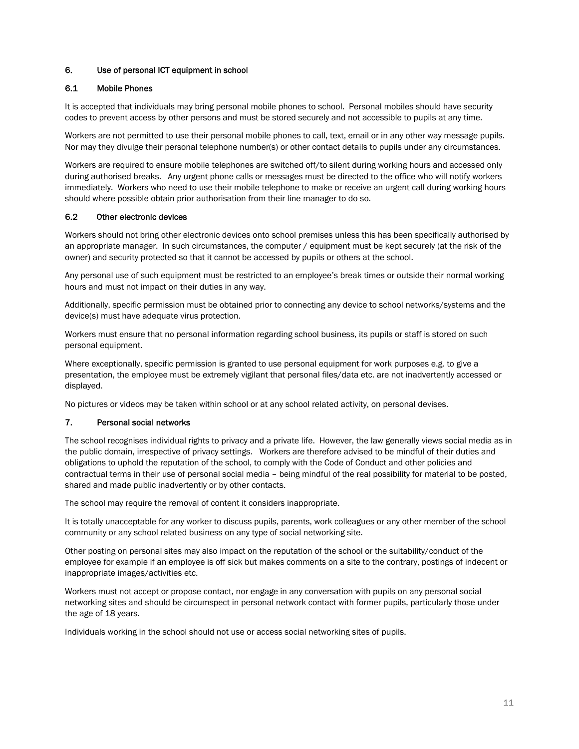#### 6. Use of personal ICT equipment in school

#### 6.1 Mobile Phones

It is accepted that individuals may bring personal mobile phones to school. Personal mobiles should have security codes to prevent access by other persons and must be stored securely and not accessible to pupils at any time.

Workers are not permitted to use their personal mobile phones to call, text, email or in any other way message pupils. Nor may they divulge their personal telephone number(s) or other contact details to pupils under any circumstances.

Workers are required to ensure mobile telephones are switched off/to silent during working hours and accessed only during authorised breaks. Any urgent phone calls or messages must be directed to the office who will notify workers immediately. Workers who need to use their mobile telephone to make or receive an urgent call during working hours should where possible obtain prior authorisation from their line manager to do so.

#### 6.2 Other electronic devices

Workers should not bring other electronic devices onto school premises unless this has been specifically authorised by an appropriate manager. In such circumstances, the computer / equipment must be kept securely (at the risk of the owner) and security protected so that it cannot be accessed by pupils or others at the school.

Any personal use of such equipment must be restricted to an employee's break times or outside their normal working hours and must not impact on their duties in any way.

Additionally, specific permission must be obtained prior to connecting any device to school networks/systems and the device(s) must have adequate virus protection.

Workers must ensure that no personal information regarding school business, its pupils or staff is stored on such personal equipment.

Where exceptionally, specific permission is granted to use personal equipment for work purposes e.g. to give a presentation, the employee must be extremely vigilant that personal files/data etc. are not inadvertently accessed or displayed.

No pictures or videos may be taken within school or at any school related activity, on personal devises.

#### 7. Personal social networks

The school recognises individual rights to privacy and a private life. However, the law generally views social media as in the public domain, irrespective of privacy settings. Workers are therefore advised to be mindful of their duties and obligations to uphold the reputation of the school, to comply with the Code of Conduct and other policies and contractual terms in their use of personal social media – being mindful of the real possibility for material to be posted, shared and made public inadvertently or by other contacts.

The school may require the removal of content it considers inappropriate.

It is totally unacceptable for any worker to discuss pupils, parents, work colleagues or any other member of the school community or any school related business on any type of social networking site.

Other posting on personal sites may also impact on the reputation of the school or the suitability/conduct of the employee for example if an employee is off sick but makes comments on a site to the contrary, postings of indecent or inappropriate images/activities etc.

Workers must not accept or propose contact, nor engage in any conversation with pupils on any personal social networking sites and should be circumspect in personal network contact with former pupils, particularly those under the age of 18 years.

Individuals working in the school should not use or access social networking sites of pupils.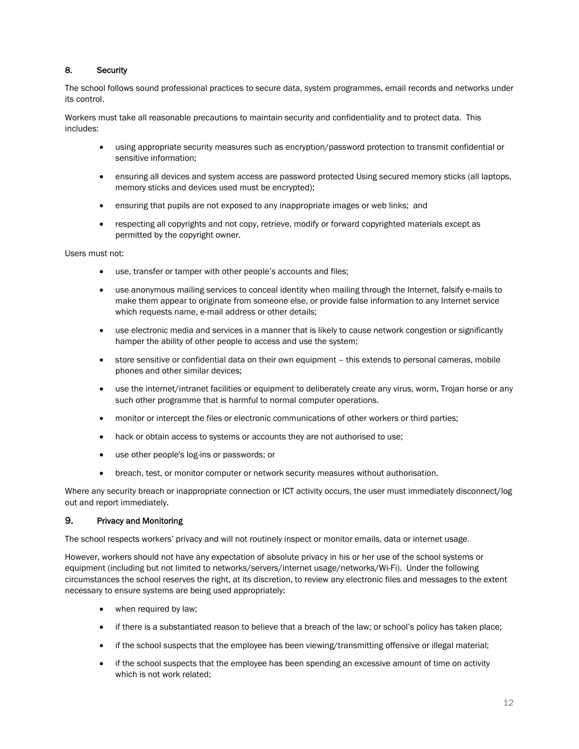#### 8. Security

The school follows sound professional practices to secure data, system programmes, email records and networks under its control.

Workers must take all reasonable precautions to maintain security and confidentiality and to protect data. This includes:

- using appropriate security measures such as encryption/password protection to transmit confidential or sensitive information;
- ensuring all devices and system access are password protected Using secured memory sticks (all laptops, memory sticks and devices used must be encrypted);
- ensuring that pupils are not exposed to any inappropriate images or web links; and
- respecting all copyrights and not copy, retrieve, modify or forward copyrighted materials except as permitted by the copyright owner.

Users must not:

- use, transfer or tamper with other people's accounts and files;
- use anonymous mailing services to conceal identity when mailing through the Internet, falsify e-mails to make them appear to originate from someone else, or provide false information to any Internet service which requests name, e-mail address or other details;
- use electronic media and services in a manner that is likely to cause network congestion or significantly hamper the ability of other people to access and use the system;
- store sensitive or confidential data on their own equipment this extends to personal cameras, mobile phones and other similar devices;
- use the internet/intranet facilities or equipment to deliberately create any virus, worm, Trojan horse or any such other programme that is harmful to normal computer operations.
- monitor or intercept the files or electronic communications of other workers or third parties;
- hack or obtain access to systems or accounts they are not authorised to use;
- use other people's log-ins or passwords; or
- breach, test, or monitor computer or network security measures without authorisation.

Where any security breach or inappropriate connection or ICT activity occurs, the user must immediately disconnect/log out and report immediately.

#### 9. Privacy and Monitoring

The school respects workers' privacy and will not routinely inspect or monitor emails, data or internet usage.

However, workers should not have any expectation of absolute privacy in his or her use of the school systems or equipment (including but not limited to networks/servers/internet usage/networks/Wi-Fi). Under the following circumstances the school reserves the right, at its discretion, to review any electronic files and messages to the extent necessary to ensure systems are being used appropriately:

- when required by law;
- if there is a substantiated reason to believe that a breach of the law; or school's policy has taken place;
- if the school suspects that the employee has been viewing/transmitting offensive or illegal material;
- if the school suspects that the employee has been spending an excessive amount of time on activity which is not work related;